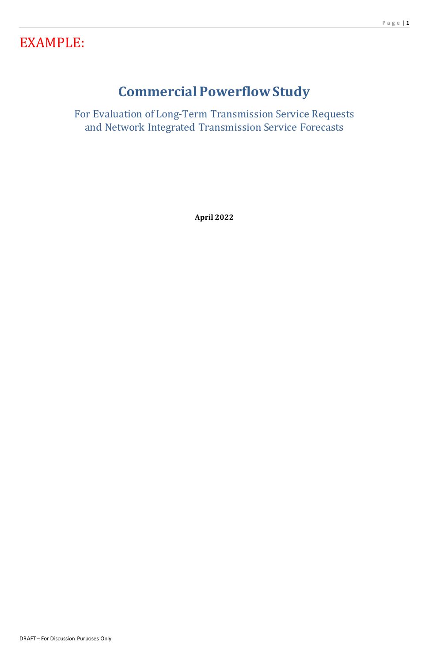# EXAMPLE:

# **Commercial Powerflow Study**

For Evaluation of Long-Term Transmission Service Requests and Network Integrated Transmission Service Forecasts

**April 2022**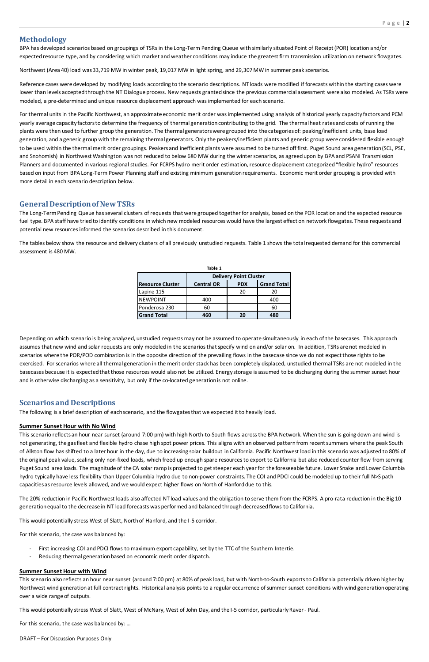# **Methodology**

BPA has developed scenarios based on groupings of TSRs in the Long-Term Pending Queue with similarly situated Point of Receipt (POR) location and/or expected resource type, and by considering which market and weather conditions may induce the greatest firm transmission utilization on network flowgates.

Northwest (Area 40) load was 33,719 MW in winter peak, 19,017 MW in light spring, and 29,307 MW in summer peak scenarios.

Reference cases were developed by modifying loads according to the scenario descriptions. NT loads were modified if forecasts within the starting cases were lower than levels accepted through the NT Dialogue process. New requests granted since the previous commercial assessment were also modeled. As TSRs were modeled, a pre-determined and unique resource displacement approach was implemented for each scenario.

For thermal units in the Pacific Northwest, an approximate economic merit order was implemented using analysis of historical yearly capacity factors and PCM yearly average capacity factors to determine the frequency of thermal generation contributing to the grid. The thermal heat rates and costs of running the plants were then used to further group the generation. The thermal generatorswere grouped into the categories of: peaking/inefficient units, base load generation, and a generic group with the remaining thermal generators. Only the peakers/inefficient plants and generic group were considered flexible enough to be used within the thermal merit order groupings. Peakers and inefficient plants were assumed to be turned off first. Puget Sound area generation(SCL, PSE, and Snohomish) in Northwest Washington was not reduced to below 680 MW during the winter scenarios, as agreed upon by BPA and PSANI Transmission Planners and documented in various regional studies. For FCRPS hydro merit order estimation, resource displacement categorized "flexible hydro" resources based on input from BPA Long-Term Power Planning staff and existing minimum generation requirements. Economic merit order grouping is provided with more detail in each scenario description below.

# **General Description of New TSRs**

The Long-Term Pending Queue has several clusters of requests that were grouped together for analysis, based on the POR location and the expected resource fuel type. BPA staff have tried to identify conditions in which new modeled resources would have the largest effect on network flowgates. These requests and potential new resources informed the scenarios described in this document.

The tables below show the resource and delivery clusters of all previously unstudied requests. Table 1 shows the total requested demand for this commercial assessment is 480 MW.

Depending on which scenario is being analyzed, unstudied requests may not be assumed to operate simultaneously in each of the basecases. This approach assumes that new wind and solar requests are only modeled in the scenarios that specify wind on and/or solar on. In addition, TSRs are not modeled in scenarios where the POR/POD combination is in the opposite direction of the prevailing flows in the basecase since we do not expect those rights to be exercised. For scenarios where all thermal generation in the merit order stack has been completely displaced, unstudied thermal TSRs are not modeled in the basecases because it is expected that those resources would also not be utilized. Energy storage is assumed to be discharging during the summer sunset hour and is otherwise discharging as a sensitivity, but only if the co-located generation is not online.

# **Scenarios and Descriptions**

The following is a brief description of each scenario, and the flowgates that we expected it to heavily load.

# **Summer Sunset Hour with No Wind**

This scenario reflects an hour near sunset (around 7:00 pm) with high North-to-South flows across the BPA Network. When the sun is going down and wind is not generating, the gas fleet and flexible hydro chase high spot power prices. This aligns with an observed patternfrom recentsummers where the peak South of Allston flow has shifted to a later hour in the day, due to increasing solar buildout in California. Pacific Northwest load in this scenario was adjusted to 80% of the original peak value, scaling only non-fixed loads, which freed up enough spare resources to export to California but also reduced counter flow from serving Puget Sound area loads. The magnitude of the CA solar ramp is projected to get steeper each year for the foreseeable future. Lower Snake and Lower Columbia hydro typically have less flexibility than Upper Columbia hydro due to non-power constraints. The COI and PDCI could be modeled up to their full N>S path capacitiesas resource levels allowed, and we would expect higher flows on North of Hanforddue to this.

| Table 1                 |                               |            |                    |  |  |  |  |
|-------------------------|-------------------------------|------------|--------------------|--|--|--|--|
|                         | <b>Delivery Point Cluster</b> |            |                    |  |  |  |  |
| <b>Resource Cluster</b> | <b>Central OR</b>             | <b>PDX</b> | <b>Grand Total</b> |  |  |  |  |
| Lapine 115              |                               | -20        | 20                 |  |  |  |  |
| <b>INEWPOINT</b>        | 400                           |            | 400                |  |  |  |  |
| Ponderosa 230           | 60                            |            | 60                 |  |  |  |  |
| <b>Grand Total</b>      | 460                           |            | 480                |  |  |  |  |

The 20% reduction in Pacific Northwest loads also affected NT load values and the obligation to serve them from the FCRPS. A pro-rata reduction in the Big 10 generation equal to the decrease in NT load forecasts was performed and balanced through decreased flows to California.

This would potentially stress West of Slatt, North of Hanford, and the I-5 corridor.

For this scenario, the case was balanced by:

- First increasing COI and PDCI flows to maximum export capability, set by the TTC of the Southern Intertie.
- Reducing thermal generation based on economic merit order dispatch.

#### **Summer Sunset Hour with Wind**

This scenario also reflects an hour near sunset (around 7:00 pm) at 80% of peak load, but with North-to-South exports to California potentially driven higher by Northwest wind generationat full contract rights. Historical analysis points to a regular occurrence of summer sunset conditions with wind generation operating over a wide range of outputs.

This would potentially stress West of Slatt, West of McNary, West of John Day, and the I-5 corridor, particularly Raver - Paul.

For this scenario, the case was balanced by: …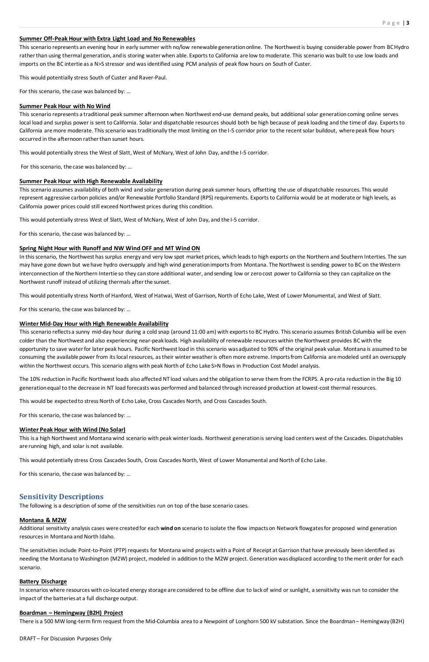#### **Summer Off-Peak Hour with Extra Light Load and No Renewables**

This scenario represents an evening hour in early summer with no/low renewable generation online. The Northwest is buying considerable power from BC Hydro rather than using thermal generation, and is storing water when able. Exports to California are low to moderate. This scenario was built to use low loads and imports on the BC intertie as a N>S stressor and was identified using PCM analysis of peak flow hours on South of Custer.

This would potentially stress South of Custer and Raver-Paul.

For this scenario, the case was balanced by: …

#### **Summer Peak Hour with No Wind**

This scenario represents a traditional peak summer afternoon when Northwest end-use demand peaks, but additional solar generation coming online serves local load and surplus power is sent to California. Solar and dispatchable resources should both be high because of peak loading and the time of day. Exports to California are more moderate. This scenario was traditionally the most limiting on the I-5 corridor prior to the recent solar buildout, where peak flow hours occurred in the afternoon rather than sunset hours.

This would potentially stress the West of Slatt, West of McNary, West of John Day, and the I-5 corridor.

For this scenario, the case was balanced by: …

#### **Summer Peak Hour with High Renewable Availability**

This scenario assumes availability of both wind and solar generation during peak summer hours, offsetting the use of dispatchable resources. This would represent aggressive carbon policies and/or Renewable Portfolio Standard (RPS) requirements. Exports to California would be at moderate or high levels, as California power prices could still exceed Northwest prices during this condition.

This would potentially stress West of Slatt, West of McNary, West of John Day, and the I-5 corridor.

For this scenario, the case was balanced by: …

#### **Spring Night Hour with Runoff and NW Wind OFF and MT Wind ON**

In this scenario, the Northwest has surplus energy and very low spot market prices, which leads to high exports on the Northern and Southern Interties. The sun may have gone down but we have hydro oversupply and high wind generation imports from Montana. The Northwest is sending power to BC on the Western interconnection of the Northern Intertie so they canstore additional water, and sending low or zero cost power to California so they can capitalize on the Northwest runoff instead of utilizing thermals after the sunset.

This would potentially stress North of Hanford, West of Hatwai, West of Garrison, North of Echo Lake, West of Lower Monumental, and West of Slatt.

For this scenario, the case was balanced by: …

#### **Winter Mid-Day Hour with High Renewable Availability**

This scenario reflects a sunny mid-day hour during a cold snap (around 11:00 am) with exports to BC Hydro. This scenario assumes British Columbia will be even colder than the Northwest and also experiencing near-peak loads. High availability of renewable resources within the Northwest provides BC with the opportunity to save water for later peak hours. Pacific Northwest load in this scenario was adjusted to 90% of the original peak value. Montana is assumed to be consuming the available power from its local resources, as their winter weather is often more extreme. Imports from California are modeled until an oversupply within the Northwest occurs. This scenario aligns with peak North of Echo Lake S>N flows in Production Cost Model analysis.

The 10% reduction in Pacific Northwest loads also affected NT load values and the obligation to serve them from the FCRPS. A pro-rata reduction in the Big 10 generation equal to the decrease in NT load forecasts was performed and balanced through increased production at lowest-cost thermal resources.

This would be expected to stress North of Echo Lake, Cross Cascades North, and Cross Cascades South.

For this scenario, the case was balanced by: …

#### **Winter Peak Hour with Wind (No Solar)**

This is a high Northwest and Montana wind scenario with peak winterloads. Northwest generation is serving load centers west of the Cascades. Dispatchables are running high, and solar is not available.

This would potentially stress Cross Cascades South, Cross Cascades North, West of Lower Monumental and North of Echo Lake.

For this scenario, the case was balanced by: …

# **Sensitivity Descriptions**

The following is a description of some of the sensitivities run on top of the base scenario cases.

#### **Montana & M2W**

Additional sensitivity analysis cases were created for each **wind on** scenario to isolate the flow impacts on Network flowgates for proposed wind generation resources in Montana and North Idaho.

The sensitivities include Point-to-Point (PTP) requests for Montana wind projects with a Point of Receipt at Garrison that have previously been identified as needing the Montana to Washington (M2W) project, modeled in addition to the M2W project. Generation was displaced according to the merit order for each scenario.

#### **Battery Discharge**

In scenarios where resources with co-located energy storage are considered to be offline due to lack of wind or sunlight, a sensitivity was run to consider the impact of the batteries at a full discharge output.

#### **Boardman – Hemingway (B2H) Project**

There is a 500 MW long-term firm request from the Mid-Columbia area to a Newpoint of Longhorn 500 kV substation. Since the Boardman – Hemingway (B2H)